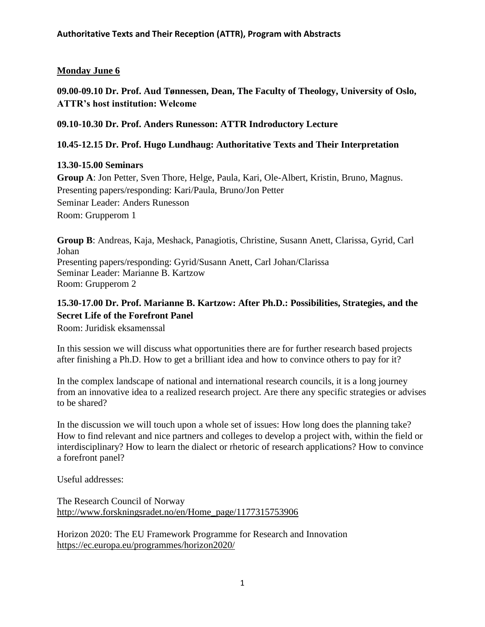## **Monday June 6**

**09.00-09.10 Dr. Prof. Aud Tønnessen, Dean, The Faculty of Theology, University of Oslo, ATTR's host institution: Welcome**

**09.10-10.30 Dr. Prof. Anders Runesson: ATTR Indroductory Lecture**

### **10.45-12.15 Dr. Prof. Hugo Lundhaug: Authoritative Texts and Their Interpretation**

### **13.30-15.00 Seminars**

**Group A**: Jon Petter, Sven Thore, Helge, Paula, Kari, Ole-Albert, Kristin, Bruno, Magnus. Presenting papers/responding: Kari/Paula, Bruno/Jon Petter Seminar Leader: Anders Runesson Room: Grupperom 1

**Group B**: Andreas, Kaja, Meshack, Panagiotis, Christine, Susann Anett, Clarissa, Gyrid, Carl Johan Presenting papers/responding: Gyrid/Susann Anett, Carl Johan/Clarissa Seminar Leader: Marianne B. Kartzow Room: Grupperom 2

# **15.30-17.00 Dr. Prof. Marianne B. Kartzow: After Ph.D.: Possibilities, Strategies, and the Secret Life of the Forefront Panel**

Room: Juridisk eksamenssal

In this session we will discuss what opportunities there are for further research based projects after finishing a Ph.D. How to get a brilliant idea and how to convince others to pay for it?

In the complex landscape of national and international research councils, it is a long journey from an innovative idea to a realized research project. Are there any specific strategies or advises to be shared?

In the discussion we will touch upon a whole set of issues: How long does the planning take? How to find relevant and nice partners and colleges to develop a project with, within the field or interdisciplinary? How to learn the dialect or rhetoric of research applications? How to convince a forefront panel?

Useful addresses:

The Research Council of Norway [http://www.forskningsradet.no/en/Home\\_page/1177315753906](http://www.forskningsradet.no/en/Home_page/1177315753906)

Horizon 2020: The EU Framework Programme for Research and Innovation <https://ec.europa.eu/programmes/horizon2020/>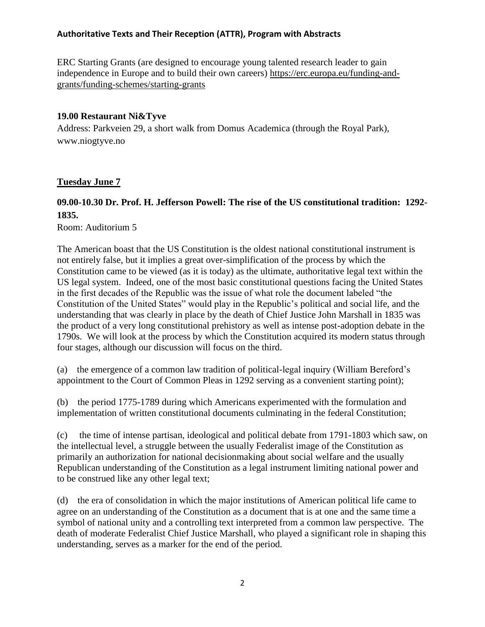ERC Starting Grants (are designed to encourage young talented research leader to gain independence in Europe and to build their own careers) [https://erc.europa.eu/funding-and](https://erc.europa.eu/funding-and-grants/funding-schemes/starting-grants)[grants/funding-schemes/starting-grants](https://erc.europa.eu/funding-and-grants/funding-schemes/starting-grants)

#### **19.00 Restaurant Ni&Tyve**

Address: Parkveien 29, a short walk from Domus Academica (through the Royal Park), www.niogtyve.no

### **Tuesday June 7**

# **09.00-10.30 Dr. Prof. H. Jefferson Powell: The rise of the US constitutional tradition: 1292- 1835.**

Room: Auditorium 5

The American boast that the US Constitution is the oldest national constitutional instrument is not entirely false, but it implies a great over-simplification of the process by which the Constitution came to be viewed (as it is today) as the ultimate, authoritative legal text within the US legal system. Indeed, one of the most basic constitutional questions facing the United States in the first decades of the Republic was the issue of what role the document labeled "the Constitution of the United States" would play in the Republic's political and social life, and the understanding that was clearly in place by the death of Chief Justice John Marshall in 1835 was the product of a very long constitutional prehistory as well as intense post-adoption debate in the 1790s. We will look at the process by which the Constitution acquired its modern status through four stages, although our discussion will focus on the third.

(a) the emergence of a common law tradition of political-legal inquiry (William Bereford's appointment to the Court of Common Pleas in 1292 serving as a convenient starting point);

(b) the period 1775-1789 during which Americans experimented with the formulation and implementation of written constitutional documents culminating in the federal Constitution;

(c) the time of intense partisan, ideological and political debate from 1791-1803 which saw, on the intellectual level, a struggle between the usually Federalist image of the Constitution as primarily an authorization for national decisionmaking about social welfare and the usually Republican understanding of the Constitution as a legal instrument limiting national power and to be construed like any other legal text;

(d) the era of consolidation in which the major institutions of American political life came to agree on an understanding of the Constitution as a document that is at one and the same time a symbol of national unity and a controlling text interpreted from a common law perspective. The death of moderate Federalist Chief Justice Marshall, who played a significant role in shaping this understanding, serves as a marker for the end of the period.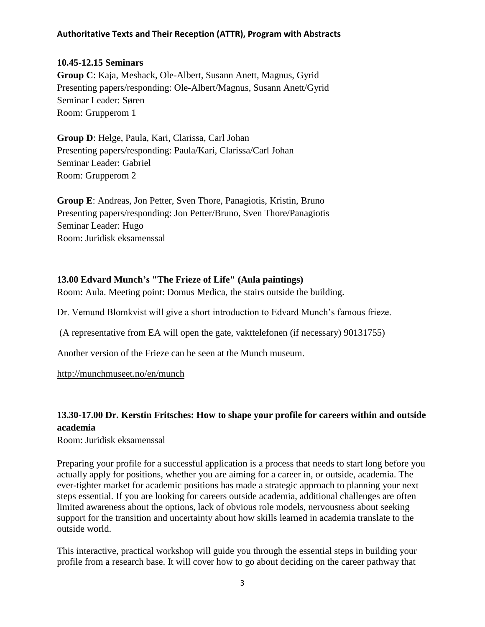### **10.45-12.15 Seminars**

**Group C**: Kaja, Meshack, Ole-Albert, Susann Anett, Magnus, Gyrid Presenting papers/responding: Ole-Albert/Magnus, Susann Anett/Gyrid Seminar Leader: Søren Room: Grupperom 1

**Group D**: Helge, Paula, Kari, Clarissa, Carl Johan Presenting papers/responding: Paula/Kari, Clarissa/Carl Johan Seminar Leader: Gabriel Room: Grupperom 2

**Group E**: Andreas, Jon Petter, Sven Thore, Panagiotis, Kristin, Bruno Presenting papers/responding: Jon Petter/Bruno, Sven Thore/Panagiotis Seminar Leader: Hugo Room: Juridisk eksamenssal

### **13.00 Edvard Munch's "The Frieze of Life" (Aula paintings)**

Room: Aula. Meeting point: Domus Medica, the stairs outside the building.

Dr. Vemund Blomkvist will give a short introduction to Edvard Munch's famous frieze.

(A representative from EA will open the gate, vakttelefonen (if necessary) 90131755)

Another version of the Frieze can be seen at the Munch museum.

<http://munchmuseet.no/en/munch>

## **13.30-17.00 Dr. Kerstin Fritsches: How to shape your profile for careers within and outside academia**

Room: Juridisk eksamenssal

Preparing your profile for a successful application is a process that needs to start long before you actually apply for positions, whether you are aiming for a career in, or outside, academia. The ever-tighter market for academic positions has made a strategic approach to planning your next steps essential. If you are looking for careers outside academia, additional challenges are often limited awareness about the options, lack of obvious role models, nervousness about seeking support for the transition and uncertainty about how skills learned in academia translate to the outside world.

This interactive, practical workshop will guide you through the essential steps in building your profile from a research base. It will cover how to go about deciding on the career pathway that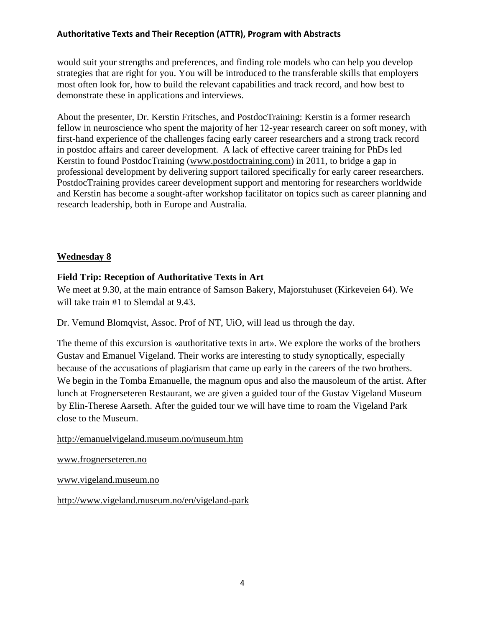would suit your strengths and preferences, and finding role models who can help you develop strategies that are right for you. You will be introduced to the transferable skills that employers most often look for, how to build the relevant capabilities and track record, and how best to demonstrate these in applications and interviews.

About the presenter, Dr. Kerstin Fritsches, and PostdocTraining: Kerstin is a former research fellow in neuroscience who spent the majority of her 12-year research career on soft money, with first-hand experience of the challenges facing early career researchers and a strong track record in postdoc affairs and career development. A lack of effective career training for PhDs led Kerstin to found PostdocTraining [\(www.postdoctraining.com\)](http://www.postdoctraining.com/) in 2011, to bridge a gap in professional development by delivering support tailored specifically for early career researchers. PostdocTraining provides career development support and mentoring for researchers worldwide and Kerstin has become a sought-after workshop facilitator on topics such as career planning and research leadership, both in Europe and Australia.

### **Wednesday 8**

### **Field Trip: Reception of Authoritative Texts in Art**

We meet at 9.30, at the main entrance of Samson Bakery, Majorstuhuset (Kirkeveien 64). We will take train #1 to Slemdal at 9.43.

Dr. Vemund Blomqvist, Assoc. Prof of NT, UiO, will lead us through the day.

The theme of this excursion is «authoritative texts in art». We explore the works of the brothers Gustav and Emanuel Vigeland. Their works are interesting to study synoptically, especially because of the accusations of plagiarism that came up early in the careers of the two brothers. We begin in the Tomba Emanuelle, the magnum opus and also the mausoleum of the artist. After lunch at Frognerseteren Restaurant, we are given a guided tour of the Gustav Vigeland Museum by Elin-Therese Aarseth. After the guided tour we will have time to roam the Vigeland Park close to the Museum.

### <http://emanuelvigeland.museum.no/museum.htm>

[www.frognerseteren.no](http://www.frognerseteren.no/)

[www.vigeland.museum.no](http://www.vigeland.museum.no/)

<http://www.vigeland.museum.no/en/vigeland-park>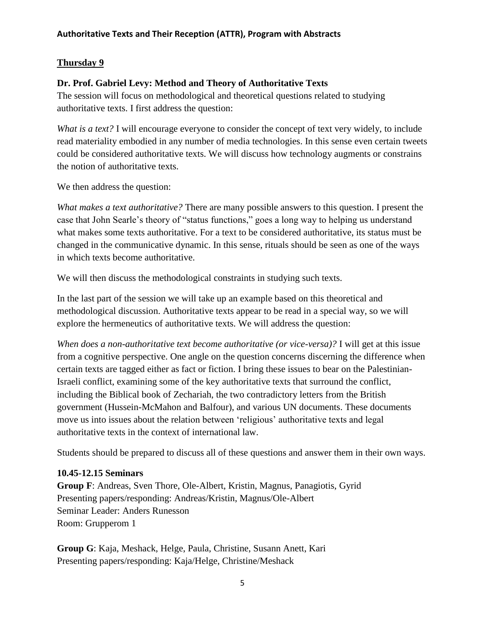## **Thursday 9**

### **Dr. Prof. Gabriel Levy: Method and Theory of Authoritative Texts**

The session will focus on methodological and theoretical questions related to studying authoritative texts. I first address the question:

*What is a text?* I will encourage everyone to consider the concept of text very widely, to include read materiality embodied in any number of media technologies. In this sense even certain tweets could be considered authoritative texts. We will discuss how technology augments or constrains the notion of authoritative texts.

We then address the question:

*What makes a text authoritative?* There are many possible answers to this question. I present the case that John Searle's theory of "status functions," goes a long way to helping us understand what makes some texts authoritative. For a text to be considered authoritative, its status must be changed in the communicative dynamic. In this sense, rituals should be seen as one of the ways in which texts become authoritative.

We will then discuss the methodological constraints in studying such texts.

In the last part of the session we will take up an example based on this theoretical and methodological discussion. Authoritative texts appear to be read in a special way, so we will explore the hermeneutics of authoritative texts. We will address the question:

*When does a non-authoritative text become authoritative (or vice-versa)?* I will get at this issue from a cognitive perspective. One angle on the question concerns discerning the difference when certain texts are tagged either as fact or fiction. I bring these issues to bear on the Palestinian-Israeli conflict, examining some of the key authoritative texts that surround the conflict, including the Biblical book of Zechariah, the two contradictory letters from the British government (Hussein-McMahon and Balfour), and various UN documents. These documents move us into issues about the relation between 'religious' authoritative texts and legal authoritative texts in the context of international law.

Students should be prepared to discuss all of these questions and answer them in their own ways.

### **10.45-12.15 Seminars**

**Group F**: Andreas, Sven Thore, Ole-Albert, Kristin, Magnus, Panagiotis, Gyrid Presenting papers/responding: Andreas/Kristin, Magnus/Ole-Albert Seminar Leader: Anders Runesson Room: Grupperom 1

**Group G**: Kaja, Meshack, Helge, Paula, Christine, Susann Anett, Kari Presenting papers/responding: Kaja/Helge, Christine/Meshack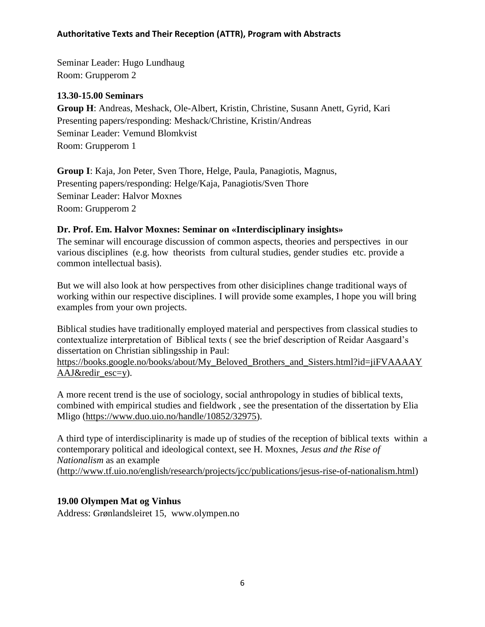Seminar Leader: Hugo Lundhaug Room: Grupperom 2

#### **13.30-15.00 Seminars**

**Group H**: Andreas, Meshack, Ole-Albert, Kristin, Christine, Susann Anett, Gyrid, Kari Presenting papers/responding: Meshack/Christine, Kristin/Andreas Seminar Leader: Vemund Blomkvist Room: Grupperom 1

**Group I**: Kaja, Jon Peter, Sven Thore, Helge, Paula, Panagiotis, Magnus, Presenting papers/responding: Helge/Kaja, Panagiotis/Sven Thore Seminar Leader: Halvor Moxnes Room: Grupperom 2

### **Dr. Prof. Em. Halvor Moxnes: Seminar on «Interdisciplinary insights»**

The seminar will encourage discussion of common aspects, theories and perspectives in our various disciplines (e.g. how theorists from cultural studies, gender studies etc. provide a common intellectual basis).

But we will also look at how perspectives from other disiciplines change traditional ways of working within our respective disciplines. I will provide some examples, I hope you will bring examples from your own projects.

Biblical studies have traditionally employed material and perspectives from classical studies to contextualize interpretation of Biblical texts ( see the brief description of Reidar Aasgaard's dissertation on Christian siblingsship in Paul:

[https://books.google.no/books/about/My\\_Beloved\\_Brothers\\_and\\_Sisters.html?id=jiFVAAAAY](https://books.google.no/books/about/My_Beloved_Brothers_and_Sisters.html?id=jiFVAAAAYAAJ&redir_esc=y) [AAJ&redir\\_esc=y\)](https://books.google.no/books/about/My_Beloved_Brothers_and_Sisters.html?id=jiFVAAAAYAAJ&redir_esc=y).

A more recent trend is the use of sociology, social anthropology in studies of biblical texts, combined with empirical studies and fieldwork , see the presentation of the dissertation by Elia Mligo [\(https://www.duo.uio.no/handle/10852/32975\)](https://www.duo.uio.no/handle/10852/32975).

A third type of interdisciplinarity is made up of studies of the reception of biblical texts within a contemporary political and ideological context, see H. Moxnes, *Jesus and the Rise of Nationalism* as an example [\(http://www.tf.uio.no/english/research/projects/jcc/publications/jesus-rise-of-nationalism.html\)](http://www.tf.uio.no/english/research/projects/jcc/publications/jesus-rise-of-nationalism.html)

### **19.00 Olympen Mat og Vinhus**

Address: Grønlandsleiret 15, www.olympen.no